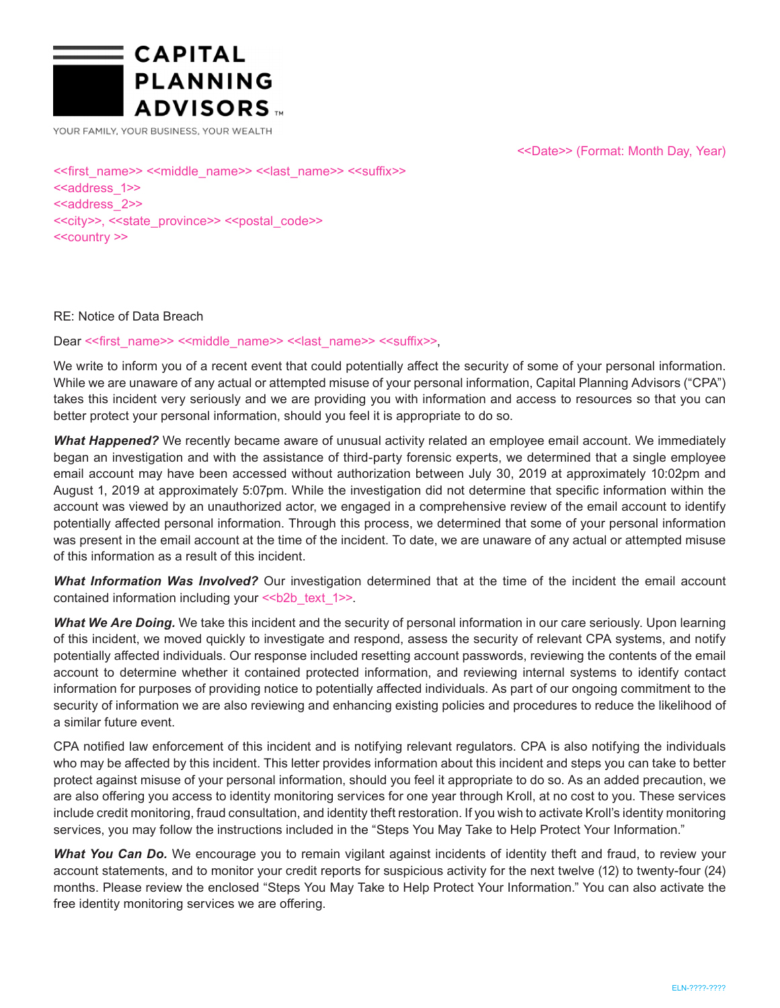

YOUR FAMILY, YOUR BUSINESS, YOUR WEALTH

<<Date>> (Format: Month Day, Year)

<<first\_name>> <<middle\_name>> <<last\_name>> <<suffix>> <<aaddress\_1>> <<address 2>> <<city>>, <<state\_province>> <<postal\_code>> <<country >>

## RE: Notice of Data Breach

Dear << first\_name>> <<middle\_name>> << last\_name>> <<suffix>>,

We write to inform you of a recent event that could potentially affect the security of some of your personal information. While we are unaware of any actual or attempted misuse of your personal information, Capital Planning Advisors ("CPA") takes this incident very seriously and we are providing you with information and access to resources so that you can better protect your personal information, should you feel it is appropriate to do so.

*What Happened?* We recently became aware of unusual activity related an employee email account. We immediately began an investigation and with the assistance of third-party forensic experts, we determined that a single employee email account may have been accessed without authorization between July 30, 2019 at approximately 10:02pm and August 1, 2019 at approximately 5:07pm. While the investigation did not determine that specific information within the account was viewed by an unauthorized actor, we engaged in a comprehensive review of the email account to identify potentially affected personal information. Through this process, we determined that some of your personal information was present in the email account at the time of the incident. To date, we are unaware of any actual or attempted misuse of this information as a result of this incident.

*What Information Was Involved?* Our investigation determined that at the time of the incident the email account contained information including your <<br/>b>>>>>2b\_text\_1>>.

*What We Are Doing.* We take this incident and the security of personal information in our care seriously. Upon learning of this incident, we moved quickly to investigate and respond, assess the security of relevant CPA systems, and notify potentially affected individuals. Our response included resetting account passwords, reviewing the contents of the email account to determine whether it contained protected information, and reviewing internal systems to identify contact information for purposes of providing notice to potentially affected individuals. As part of our ongoing commitment to the security of information we are also reviewing and enhancing existing policies and procedures to reduce the likelihood of a similar future event.

CPA notified law enforcement of this incident and is notifying relevant regulators. CPA is also notifying the individuals who may be affected by this incident. This letter provides information about this incident and steps you can take to better protect against misuse of your personal information, should you feel it appropriate to do so. As an added precaution, we are also offering you access to identity monitoring services for one year through Kroll, at no cost to you. These services include credit monitoring, fraud consultation, and identity theft restoration. If you wish to activate Kroll's identity monitoring services, you may follow the instructions included in the "Steps You May Take to Help Protect Your Information."

*What You Can Do.* We encourage you to remain vigilant against incidents of identity theft and fraud, to review your account statements, and to monitor your credit reports for suspicious activity for the next twelve (12) to twenty-four (24) months. Please review the enclosed "Steps You May Take to Help Protect Your Information." You can also activate the free identity monitoring services we are offering.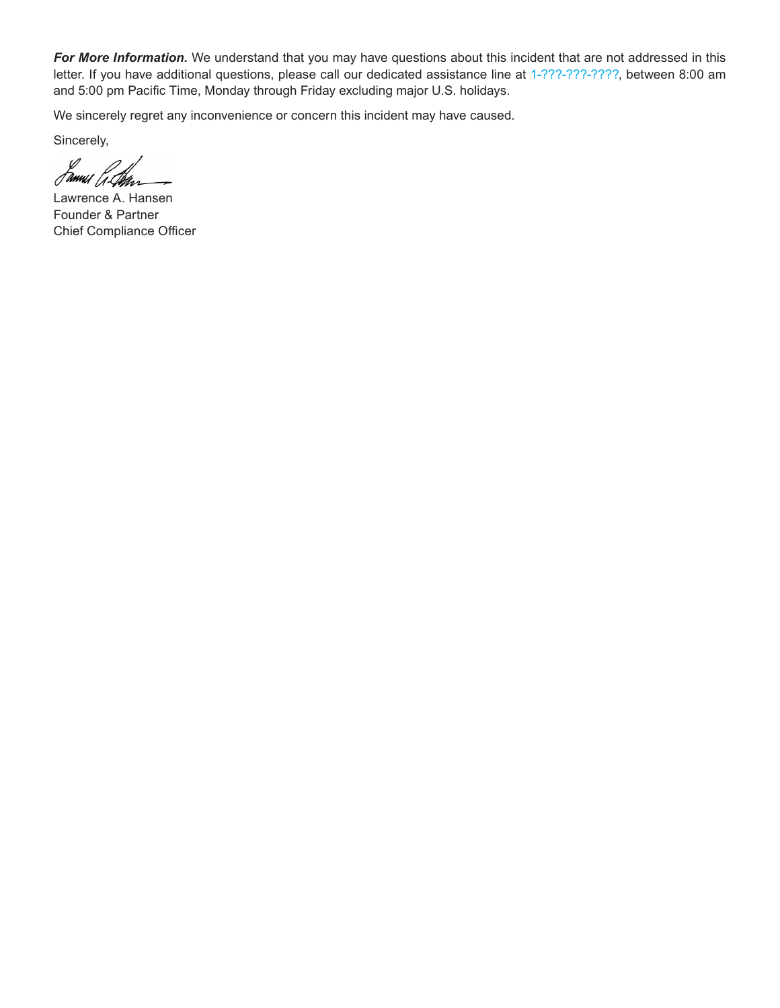*For More Information.* We understand that you may have questions about this incident that are not addressed in this letter. If you have additional questions, please call our dedicated assistance line at 1-???-????-????, between 8:00 am and 5:00 pm Pacific Time, Monday through Friday excluding major U.S. holidays.

We sincerely regret any inconvenience or concern this incident may have caused.

Sincerely,

Samu G.B.h

Lawrence A. Hansen Founder & Partner Chief Compliance Officer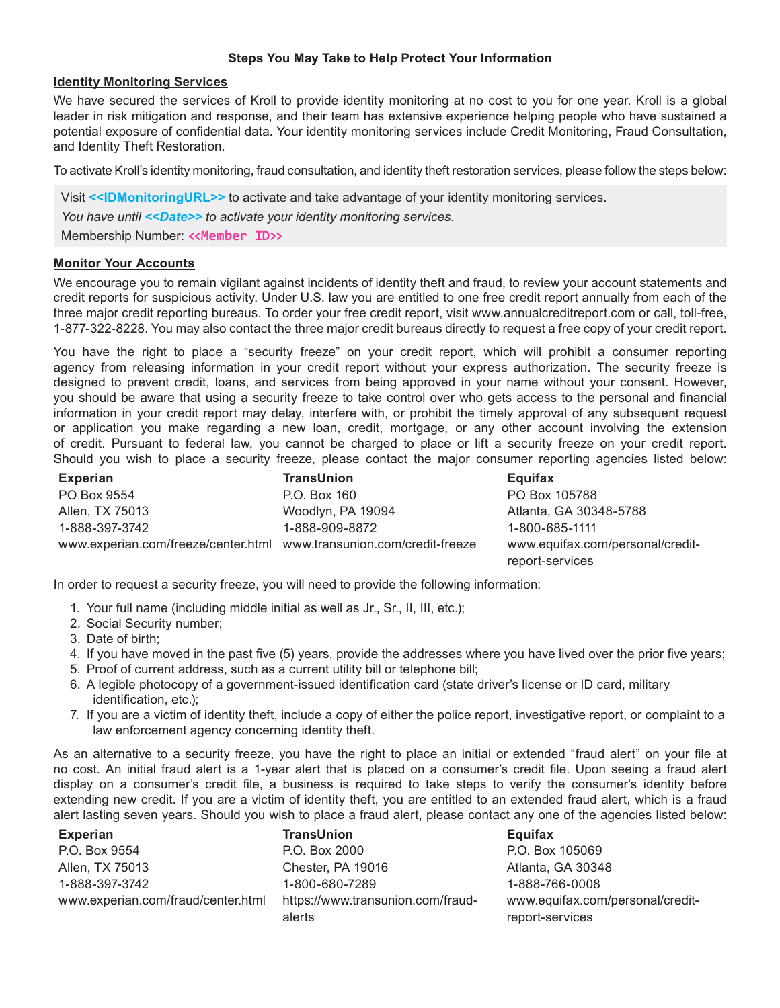## **Steps You May Take to Help Protect Your Information**

### **Identity Monitoring Services**

We have secured the services of Kroll to provide identity monitoring at no cost to you for one year. Kroll is a global leader in risk mitigation and response, and their team has extensive experience helping people who have sustained a potential exposure of confidential data. Your identity monitoring services include Credit Monitoring, Fraud Consultation, and Identity Theft Restoration.

To activate Kroll's identity monitoring, fraud consultation, and identity theft restoration services, please follow the steps below:

Visit <<**IDMonitoringURL>>** to activate and take advantage of your identity monitoring services.

*You have until <<Date>> to activate your identity monitoring services.*

Membership Number: **<<Member ID>>**

### **Monitor Your Accounts**

We encourage you to remain vigilant against incidents of identity theft and fraud, to review your account statements and credit reports for suspicious activity. Under U.S. law you are entitled to one free credit report annually from each of the three major credit reporting bureaus. To order your free credit report, visit www.annualcreditreport.com or call, toll-free, 1-877-322-8228. You may also contact the three major credit bureaus directly to request a free copy of your credit report.

You have the right to place a "security freeze" on your credit report, which will prohibit a consumer reporting agency from releasing information in your credit report without your express authorization. The security freeze is designed to prevent credit, loans, and services from being approved in your name without your consent. However, you should be aware that using a security freeze to take control over who gets access to the personal and financial information in your credit report may delay, interfere with, or prohibit the timely approval of any subsequent request or application you make regarding a new loan, credit, mortgage, or any other account involving the extension of credit. Pursuant to federal law, you cannot be charged to place or lift a security freeze on your credit report. Should you wish to place a security freeze, please contact the major consumer reporting agencies listed below:

| <b>Experian</b>                                                      | <b>TransUnion</b> | Equifax                          |
|----------------------------------------------------------------------|-------------------|----------------------------------|
| PO Box 9554                                                          | P.O. Box 160      | PO Box 105788                    |
| Allen, TX 75013                                                      | Woodlyn, PA 19094 | Atlanta, GA 30348-5788           |
| 1-888-397-3742                                                       | 1-888-909-8872    | 1-800-685-1111                   |
| www.experian.com/freeze/center.html www.transunion.com/credit-freeze |                   | www.equifax.com/personal/credit- |
|                                                                      |                   | report-services                  |

In order to request a security freeze, you will need to provide the following information:

- 1. Your full name (including middle initial as well as Jr., Sr., II, III, etc.);
- 2. Social Security number;
- 3. Date of birth;
- 4. If you have moved in the past five (5) years, provide the addresses where you have lived over the prior five years;
- 5. Proof of current address, such as a current utility bill or telephone bill;
- 6. A legible photocopy of a government-issued identification card (state driver's license or ID card, military identification, etc.);
- 7. If you are a victim of identity theft, include a copy of either the police report, investigative report, or complaint to a law enforcement agency concerning identity theft.

As an alternative to a security freeze, you have the right to place an initial or extended "fraud alert" on your file at no cost. An initial fraud alert is a 1-year alert that is placed on a consumer's credit file. Upon seeing a fraud alert display on a consumer's credit file, a business is required to take steps to verify the consumer's identity before extending new credit. If you are a victim of identity theft, you are entitled to an extended fraud alert, which is a fraud alert lasting seven years. Should you wish to place a fraud alert, please contact any one of the agencies listed below:

| Experian                           | <b>TransUnion</b>                 | Equifax                          |
|------------------------------------|-----------------------------------|----------------------------------|
| P.O. Box 9554                      | P.O. Box 2000                     | P.O. Box 105069                  |
| Allen, TX 75013                    | Chester, PA 19016                 | Atlanta, GA 30348                |
| 1-888-397-3742                     | 1-800-680-7289                    | 1-888-766-0008                   |
| www.experian.com/fraud/center.html | https://www.transunion.com/fraud- | www.equifax.com/personal/credit- |
|                                    | alerts                            | report-services                  |